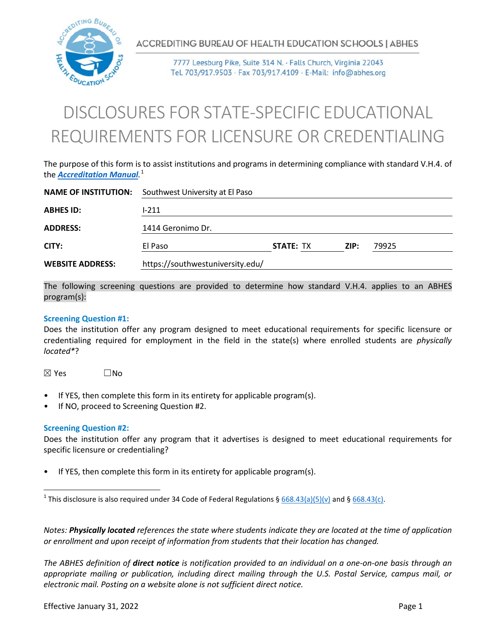

**ACCREDITING BUREAU OF HEALTH EDUCATION SCHOOLS | ABHES** 

7777 Leesburg Pike, Suite 314 N. · Falls Church, Virginia 22043 Tel. 703/917.9503 · Fax 703/917.4109 · E-Mail: info@abhes.org

# DISCLOSURES FOR STATE-SPECIFIC EDUCATIONAL REQUIREMENTS FOR LICENSURE OR CREDENTIALING

The purpose of this form is to assist institutions and programs in determining compliance with standard V.H.4. of the *[Accreditation Manual](https://www.abhes.org/resources/#accredManual).* [1](#page-0-0)

| <b>NAME OF INSTITUTION:</b> | Southwest University at El Paso  |                  |      |       |  |  |
|-----------------------------|----------------------------------|------------------|------|-------|--|--|
| <b>ABHES ID:</b>            | $1 - 211$                        |                  |      |       |  |  |
| <b>ADDRESS:</b>             | 1414 Geronimo Dr.                |                  |      |       |  |  |
| CITY:                       | El Paso                          | <b>STATE: TX</b> | ZIP: | 79925 |  |  |
| <b>WEBSITE ADDRESS:</b>     | https://southwestuniversity.edu/ |                  |      |       |  |  |

The following screening questions are provided to determine how standard V.H.4. applies to an ABHES program(s):

#### **Screening Question #1:**

Does the institution offer any program designed to meet educational requirements for specific licensure or credentialing required for employment in the field in the state(s) where enrolled students are *physically located\**?

 $\boxtimes$  Yes  $\Box$ No

- If YES, then complete this form in its entirety for applicable program(s).
- If NO, proceed to Screening Question #2.

#### **Screening Question #2:**

Does the institution offer any program that it advertises is designed to meet educational requirements for specific licensure or credentialing?

If YES, then complete this form in its entirety for applicable program(s).

<span id="page-0-0"></span><sup>1</sup> This disclosure is also required under 34 Code of Federal Regulations § [668.43\(a\)\(5\)\(v\)](https://www.ecfr.gov/current/title-34/subtitle-B/chapter-VI/part-668/subpart-D/section-668.43) and § 668.43(c).

*Notes: Physically located references the state where students indicate they are located at the time of application or enrollment and upon receipt of information from students that their location has changed.*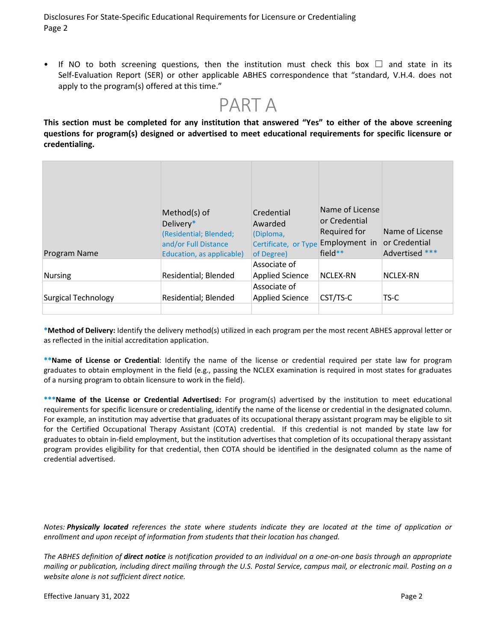If NO to both screening questions, then the institution must check this box  $\Box$  and state in its Self-Evaluation Report (SER) or other applicable ABHES correspondence that "standard, V.H.4. does not apply to the program(s) offered at this time."



**This section must be completed for any institution that answered "Yes" to either of the above screening questions for program(s) designed or advertised to meet educational requirements for specific licensure or credentialing.**

| <b>Program Name</b> | Method(s) of<br>Delivery*<br>(Residential; Blended;<br>and/or Full Distance<br>Education, as applicable) | Credential<br>Awarded<br>(Diploma,<br>Certificate, or Type<br>of Degree) | Name of License<br>or Credential<br><b>Required for</b><br>Employment in<br>field** | Name of License<br>or Credential<br>Advertised *** |
|---------------------|----------------------------------------------------------------------------------------------------------|--------------------------------------------------------------------------|-------------------------------------------------------------------------------------|----------------------------------------------------|
| <b>Nursing</b>      | Residential; Blended                                                                                     | Associate of<br><b>Applied Science</b>                                   | <b>NCLEX-RN</b>                                                                     | NCLEX-RN                                           |
| Surgical Technology | Residential; Blended                                                                                     | Associate of<br><b>Applied Science</b>                                   | CST/TS-C                                                                            | TS-C                                               |

**\*Method of Delivery:** Identify the delivery method(s) utilized in each program per the most recent ABHES approval letter or as reflected in the initial accreditation application.

**\*\*Name of License or Credential**: Identify the name of the license or credential required per state law for program graduates to obtain employment in the field (e.g., passing the NCLEX examination is required in most states for graduates of a nursing program to obtain licensure to work in the field).

**\*\*\*Name of the License or Credential Advertised:** For program(s) advertised by the institution to meet educational requirements for specific licensure or credentialing, identify the name of the license or credential in the designated column. For example, an institution may advertise that graduates of its occupational therapy assistant program may be eligible to sit for the Certified Occupational Therapy Assistant (COTA) credential. If this credential is not manded by state law for graduates to obtain in-field employment, but the institution advertises that completion of its occupational therapy assistant program provides eligibility for that credential, then COTA should be identified in the designated column as the name of credential advertised.

*Notes: Physically located references the state where students indicate they are located at the time of application or enrollment and upon receipt of information from students that their location has changed.*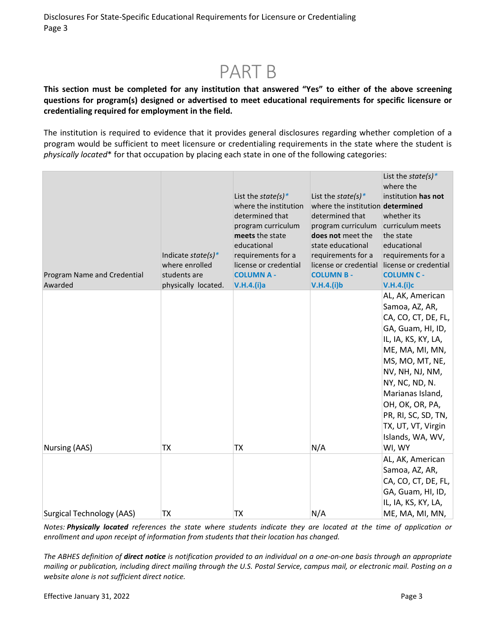

#### **This section must be completed for any institution that answered "Yes" to either of the above screening questions for program(s) designed or advertised to meet educational requirements for specific licensure or credentialing required for employment in the field.**

The institution is required to evidence that it provides general disclosures regarding whether completion of a program would be sufficient to meet licensure or credentialing requirements in the state where the student is *physically located*\* for that occupation by placing each state in one of the following categories:

| Program Name and Credential<br>Awarded | Indicate state(s)*<br>where enrolled<br>students are<br>physically located. | List the state(s)*<br>where the institution<br>determined that<br>program curriculum<br>meets the state<br>educational<br>requirements for a<br>license or credential<br><b>COLUMN A -</b><br>V.H.4.(i)a | List the state(s)*<br>where the institution determined<br>determined that<br>program curriculum<br>does not meet the<br>state educational<br>requirements for a<br>license or credential<br><b>COLUMN B -</b><br>V.H.4.(i)b | List the state(s)*<br>where the<br>institution has not<br>whether its<br>curriculum meets<br>the state<br>educational<br>requirements for a<br>license or credential<br><b>COLUMN C -</b><br>V.H.4.(i)c                                                                                            |
|----------------------------------------|-----------------------------------------------------------------------------|----------------------------------------------------------------------------------------------------------------------------------------------------------------------------------------------------------|-----------------------------------------------------------------------------------------------------------------------------------------------------------------------------------------------------------------------------|----------------------------------------------------------------------------------------------------------------------------------------------------------------------------------------------------------------------------------------------------------------------------------------------------|
| Nursing (AAS)                          | ТX                                                                          | ТX                                                                                                                                                                                                       | N/A                                                                                                                                                                                                                         | AL, AK, American<br>Samoa, AZ, AR,<br>CA, CO, CT, DE, FL,<br>GA, Guam, HI, ID,<br>IL, IA, KS, KY, LA,<br>ME, MA, MI, MN,<br>MS, MO, MT, NE,<br>NV, NH, NJ, NM,<br>NY, NC, ND, N.<br>Marianas Island,<br>OH, OK, OR, PA,<br>PR, RI, SC, SD, TN,<br>TX, UT, VT, Virgin<br>Islands, WA, WV,<br>WI, WY |
|                                        |                                                                             |                                                                                                                                                                                                          |                                                                                                                                                                                                                             | AL, AK, American                                                                                                                                                                                                                                                                                   |
|                                        |                                                                             |                                                                                                                                                                                                          |                                                                                                                                                                                                                             | Samoa, AZ, AR,<br>CA, CO, CT, DE, FL,<br>GA, Guam, HI, ID,<br>IL, IA, KS, KY, LA,                                                                                                                                                                                                                  |
| <b>Surgical Technology (AAS)</b>       | ТX                                                                          | ТX                                                                                                                                                                                                       | N/A                                                                                                                                                                                                                         | ME, MA, MI, MN,                                                                                                                                                                                                                                                                                    |

*Notes: Physically located references the state where students indicate they are located at the time of application or enrollment and upon receipt of information from students that their location has changed.*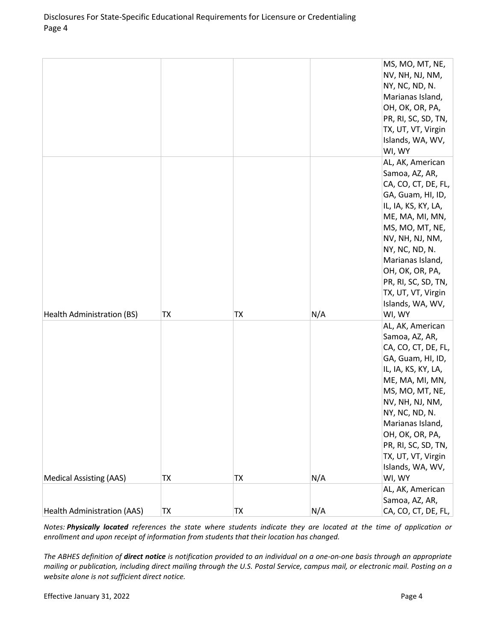|                                    |    |    |     | MS, MO, MT, NE,     |
|------------------------------------|----|----|-----|---------------------|
|                                    |    |    |     | NV, NH, NJ, NM,     |
|                                    |    |    |     | NY, NC, ND, N.      |
|                                    |    |    |     | Marianas Island,    |
|                                    |    |    |     | OH, OK, OR, PA,     |
|                                    |    |    |     | PR, RI, SC, SD, TN, |
|                                    |    |    |     | TX, UT, VT, Virgin  |
|                                    |    |    |     | Islands, WA, WV,    |
|                                    |    |    |     | WI, WY              |
|                                    |    |    |     | AL, AK, American    |
|                                    |    |    |     | Samoa, AZ, AR,      |
|                                    |    |    |     | CA, CO, CT, DE, FL, |
|                                    |    |    |     | GA, Guam, HI, ID,   |
|                                    |    |    |     | IL, IA, KS, KY, LA, |
|                                    |    |    |     | ME, MA, MI, MN,     |
|                                    |    |    |     | MS, MO, MT, NE,     |
|                                    |    |    |     | NV, NH, NJ, NM,     |
|                                    |    |    |     | NY, NC, ND, N.      |
|                                    |    |    |     | Marianas Island,    |
|                                    |    |    |     | OH, OK, OR, PA,     |
|                                    |    |    |     | PR, RI, SC, SD, TN, |
|                                    |    |    |     | TX, UT, VT, Virgin  |
|                                    |    |    |     | Islands, WA, WV,    |
| Health Administration (BS)         | ТX | TХ | N/A | WI, WY              |
|                                    |    |    |     | AL, AK, American    |
|                                    |    |    |     | Samoa, AZ, AR,      |
|                                    |    |    |     | CA, CO, CT, DE, FL, |
|                                    |    |    |     | GA, Guam, HI, ID,   |
|                                    |    |    |     | IL, IA, KS, KY, LA, |
|                                    |    |    |     | ME, MA, MI, MN,     |
|                                    |    |    |     | MS, MO, MT, NE,     |
|                                    |    |    |     | NV, NH, NJ, NM,     |
|                                    |    |    |     | NY, NC, ND, N.      |
|                                    |    |    |     | Marianas Island,    |
|                                    |    |    |     | OH, OK, OR, PA,     |
|                                    |    |    |     | PR, RI, SC, SD, TN, |
|                                    |    |    |     | TX, UT, VT, Virgin  |
|                                    |    |    |     | Islands, WA, WV,    |
| <b>Medical Assisting (AAS)</b>     | ТX | ТX | N/A | WI, WY              |
|                                    |    |    |     | AL, AK, American    |
|                                    |    |    |     | Samoa, AZ, AR,      |
| <b>Health Administration (AAS)</b> | ТX | TX | N/A | CA, CO, CT, DE, FL, |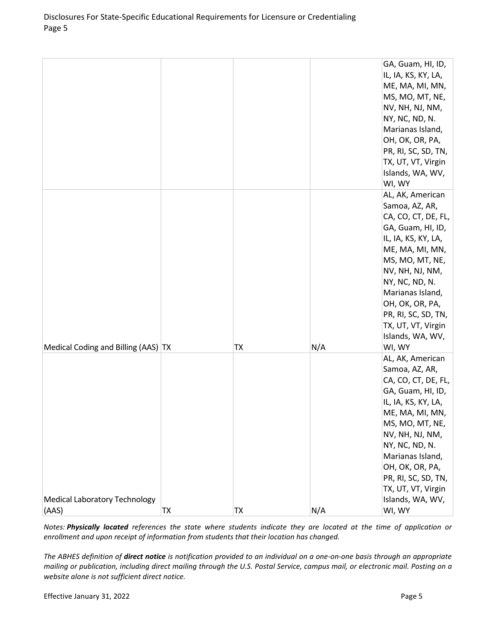|                                               |    |           |     | GA, Guam, HI, ID,<br>IL, IA, KS, KY, LA,<br>ME, MA, MI, MN,<br>MS, MO, MT, NE,<br>NV, NH, NJ, NM,<br>NY, NC, ND, N.<br>Marianas Island,<br>OH, OK, OR, PA,                                                                                                                                         |
|-----------------------------------------------|----|-----------|-----|----------------------------------------------------------------------------------------------------------------------------------------------------------------------------------------------------------------------------------------------------------------------------------------------------|
|                                               |    |           |     | PR, RI, SC, SD, TN,<br>TX, UT, VT, Virgin<br>Islands, WA, WV,<br>WI, WY                                                                                                                                                                                                                            |
| Medical Coding and Billing (AAS)   TX         |    | TΧ        | N/A | AL, AK, American<br>Samoa, AZ, AR,<br>CA, CO, CT, DE, FL,<br>GA, Guam, HI, ID,<br>IL, IA, KS, KY, LA,<br>ME, MA, MI, MN,<br>MS, MO, MT, NE,<br>NV, NH, NJ, NM,<br>NY, NC, ND, N.<br>Marianas Island,<br>OH, OK, OR, PA,<br>PR, RI, SC, SD, TN,<br>TX, UT, VT, Virgin<br>Islands, WA, WV,<br>WI, WY |
|                                               |    |           |     | AL, AK, American<br>Samoa, AZ, AR,<br>CA, CO, CT, DE, FL,<br>GA, Guam, HI, ID,<br>IL, IA, KS, KY, LA,<br>ME, MA, MI, MN,<br>MS, MO, MT, NE,<br>NV, NH, NJ, NM,<br>NY, NC, ND, N.<br>Marianas Island,<br>OH, OK, OR, PA,<br>PR, RI, SC, SD, TN,<br>TX, UT, VT, Virgin                               |
| <b>Medical Laboratory Technology</b><br>(AAS) | TX | <b>TX</b> | N/A | Islands, WA, WV,<br>WI, WY                                                                                                                                                                                                                                                                         |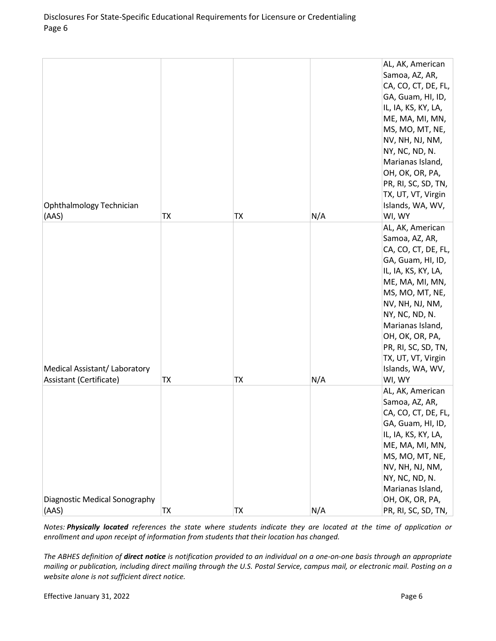|                               |           |           |     | AL, AK, American    |
|-------------------------------|-----------|-----------|-----|---------------------|
|                               |           |           |     | Samoa, AZ, AR,      |
|                               |           |           |     | CA, CO, CT, DE, FL, |
|                               |           |           |     | GA, Guam, HI, ID,   |
|                               |           |           |     | IL, IA, KS, KY, LA, |
|                               |           |           |     | ME, MA, MI, MN,     |
|                               |           |           |     | MS, MO, MT, NE,     |
|                               |           |           |     | NV, NH, NJ, NM,     |
|                               |           |           |     | NY, NC, ND, N.      |
|                               |           |           |     | Marianas Island,    |
|                               |           |           |     | OH, OK, OR, PA,     |
|                               |           |           |     | PR, RI, SC, SD, TN, |
|                               |           |           |     | TX, UT, VT, Virgin  |
| Ophthalmology Technician      |           |           |     | Islands, WA, WV,    |
| (AAS)                         | <b>TX</b> | <b>TX</b> | N/A | WI, WY              |
|                               |           |           |     | AL, AK, American    |
|                               |           |           |     | Samoa, AZ, AR,      |
|                               |           |           |     | CA, CO, CT, DE, FL, |
|                               |           |           |     | GA, Guam, HI, ID,   |
|                               |           |           |     | IL, IA, KS, KY, LA, |
|                               |           |           |     | ME, MA, MI, MN,     |
|                               |           |           |     | MS, MO, MT, NE,     |
|                               |           |           |     | NV, NH, NJ, NM,     |
|                               |           |           |     | NY, NC, ND, N.      |
|                               |           |           |     | Marianas Island,    |
|                               |           |           |     | OH, OK, OR, PA,     |
|                               |           |           |     | PR, RI, SC, SD, TN, |
|                               |           |           |     | TX, UT, VT, Virgin  |
| Medical Assistant/Laboratory  |           |           |     | Islands, WA, WV,    |
| Assistant (Certificate)       | ТX        | TX        | N/A | WI, WY              |
|                               |           |           |     | AL, AK, American    |
|                               |           |           |     | Samoa, AZ, AR,      |
|                               |           |           |     | CA, CO, CT, DE, FL, |
|                               |           |           |     | GA, Guam, HI, ID,   |
|                               |           |           |     | IL, IA, KS, KY, LA, |
|                               |           |           |     | ME, MA, MI, MN,     |
|                               |           |           |     | MS, MO, MT, NE,     |
|                               |           |           |     | NV, NH, NJ, NM,     |
|                               |           |           |     | NY, NC, ND, N.      |
|                               |           |           |     | Marianas Island,    |
| Diagnostic Medical Sonography |           |           |     | OH, OK, OR, PA,     |
| (AAS)                         | TX        | <b>TX</b> | N/A | PR, RI, SC, SD, TN, |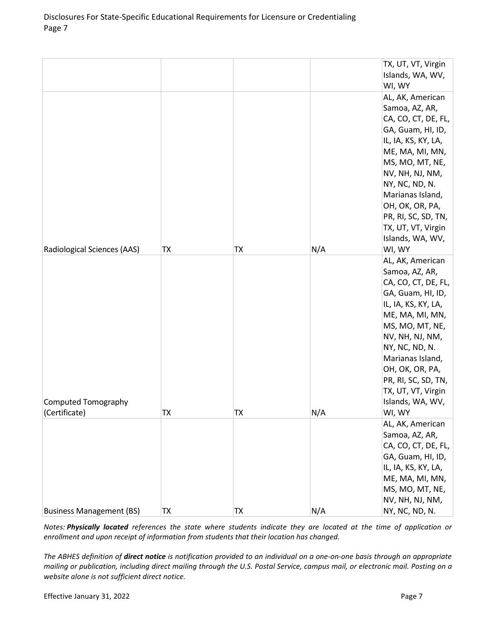|                                 |           |           |     | TX, UT, VT, Virgin  |
|---------------------------------|-----------|-----------|-----|---------------------|
|                                 |           |           |     | Islands, WA, WV,    |
|                                 |           |           |     | WI, WY              |
|                                 |           |           |     | AL, AK, American    |
|                                 |           |           |     | Samoa, AZ, AR,      |
|                                 |           |           |     | CA, CO, CT, DE, FL, |
|                                 |           |           |     | GA, Guam, HI, ID,   |
|                                 |           |           |     | IL, IA, KS, KY, LA, |
|                                 |           |           |     | ME, MA, MI, MN,     |
|                                 |           |           |     | MS, MO, MT, NE,     |
|                                 |           |           |     | NV, NH, NJ, NM,     |
|                                 |           |           |     | NY, NC, ND, N.      |
|                                 |           |           |     | Marianas Island,    |
|                                 |           |           |     | OH, OK, OR, PA,     |
|                                 |           |           |     | PR, RI, SC, SD, TN, |
|                                 |           |           |     | TX, UT, VT, Virgin  |
|                                 |           |           |     | Islands, WA, WV,    |
| Radiological Sciences (AAS)     | TX        | TX        | N/A | WI, WY              |
|                                 |           |           |     | AL, AK, American    |
|                                 |           |           |     | Samoa, AZ, AR,      |
|                                 |           |           |     | CA, CO, CT, DE, FL, |
|                                 |           |           |     | GA, Guam, HI, ID,   |
|                                 |           |           |     | IL, IA, KS, KY, LA, |
|                                 |           |           |     | ME, MA, MI, MN,     |
|                                 |           |           |     | MS, MO, MT, NE,     |
|                                 |           |           |     | NV, NH, NJ, NM,     |
|                                 |           |           |     | NY, NC, ND, N.      |
|                                 |           |           |     | Marianas Island,    |
|                                 |           |           |     | OH, OK, OR, PA,     |
|                                 |           |           |     | PR, RI, SC, SD, TN, |
|                                 |           |           |     | TX, UT, VT, Virgin  |
| <b>Computed Tomography</b>      |           |           |     | Islands, WA, WV,    |
| (Certificate)                   | ТX        | ТX        | N/A | WI, WY              |
|                                 |           |           |     | AL, AK, American    |
|                                 |           |           |     | Samoa, AZ, AR,      |
|                                 |           |           |     | CA, CO, CT, DE, FL, |
|                                 |           |           |     | GA, Guam, HI, ID,   |
|                                 |           |           |     | IL, IA, KS, KY, LA, |
|                                 |           |           |     | ME, MA, MI, MN,     |
|                                 |           |           |     | MS, MO, MT, NE,     |
|                                 |           |           |     | NV, NH, NJ, NM,     |
| <b>Business Management (BS)</b> | <b>TX</b> | <b>TX</b> | N/A | NY, NC, ND, N.      |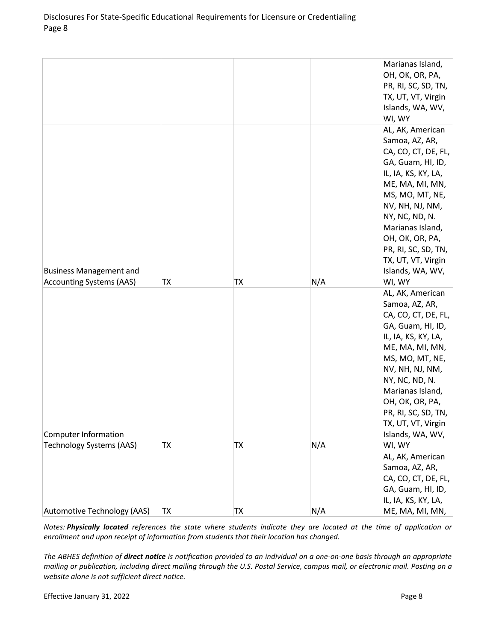|                                 |           |           |     | Marianas Island,    |
|---------------------------------|-----------|-----------|-----|---------------------|
|                                 |           |           |     | OH, OK, OR, PA,     |
|                                 |           |           |     | PR, RI, SC, SD, TN, |
|                                 |           |           |     | TX, UT, VT, Virgin  |
|                                 |           |           |     | Islands, WA, WV,    |
|                                 |           |           |     | WI, WY              |
|                                 |           |           |     | AL, AK, American    |
|                                 |           |           |     | Samoa, AZ, AR,      |
|                                 |           |           |     | CA, CO, CT, DE, FL, |
|                                 |           |           |     | GA, Guam, HI, ID,   |
|                                 |           |           |     | IL, IA, KS, KY, LA, |
|                                 |           |           |     | ME, MA, MI, MN,     |
|                                 |           |           |     | MS, MO, MT, NE,     |
|                                 |           |           |     | NV, NH, NJ, NM,     |
|                                 |           |           |     | NY, NC, ND, N.      |
|                                 |           |           |     | Marianas Island,    |
|                                 |           |           |     | OH, OK, OR, PA,     |
|                                 |           |           |     | PR, RI, SC, SD, TN, |
|                                 |           |           |     | TX, UT, VT, Virgin  |
| <b>Business Management and</b>  |           |           |     | Islands, WA, WV,    |
| <b>Accounting Systems (AAS)</b> | ТX        | TX        | N/A | WI, WY              |
|                                 |           |           |     | AL, AK, American    |
|                                 |           |           |     | Samoa, AZ, AR,      |
|                                 |           |           |     | CA, CO, CT, DE, FL, |
|                                 |           |           |     | GA, Guam, HI, ID,   |
|                                 |           |           |     | IL, IA, KS, KY, LA, |
|                                 |           |           |     | ME, MA, MI, MN,     |
|                                 |           |           |     | MS, MO, MT, NE,     |
|                                 |           |           |     | NV, NH, NJ, NM,     |
|                                 |           |           |     | NY, NC, ND, N.      |
|                                 |           |           |     | Marianas Island,    |
|                                 |           |           |     | OH, OK, OR, PA,     |
|                                 |           |           |     | PR, RI, SC, SD, TN, |
|                                 |           |           |     | TX, UT, VT, Virgin  |
| <b>Computer Information</b>     |           |           |     | Islands, WA, WV,    |
| <b>Technology Systems (AAS)</b> | TX        | TX        | N/A | WI, WY              |
|                                 |           |           |     | AL, AK, American    |
|                                 |           |           |     | Samoa, AZ, AR,      |
|                                 |           |           |     | CA, CO, CT, DE, FL, |
|                                 |           |           |     | GA, Guam, HI, ID,   |
|                                 |           |           |     | IL, IA, KS, KY, LA, |
| Automotive Technology (AAS)     | <b>TX</b> | <b>TX</b> | N/A | ME, MA, MI, MN,     |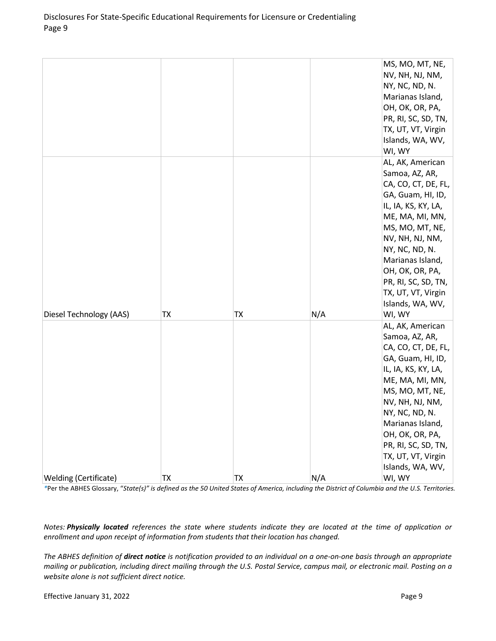|                              |           |    |     | MS, MO, MT, NE,     |
|------------------------------|-----------|----|-----|---------------------|
|                              |           |    |     | NV, NH, NJ, NM,     |
|                              |           |    |     | NY, NC, ND, N.      |
|                              |           |    |     | Marianas Island,    |
|                              |           |    |     | OH, OK, OR, PA,     |
|                              |           |    |     | PR, RI, SC, SD, TN, |
|                              |           |    |     | TX, UT, VT, Virgin  |
|                              |           |    |     | Islands, WA, WV,    |
|                              |           |    |     | WI, WY              |
|                              |           |    |     | AL, AK, American    |
|                              |           |    |     | Samoa, AZ, AR,      |
|                              |           |    |     | CA, CO, CT, DE, FL, |
|                              |           |    |     | GA, Guam, HI, ID,   |
|                              |           |    |     | IL, IA, KS, KY, LA, |
|                              |           |    |     | ME, MA, MI, MN,     |
|                              |           |    |     | MS, MO, MT, NE,     |
|                              |           |    |     | NV, NH, NJ, NM,     |
|                              |           |    |     | NY, NC, ND, N.      |
|                              |           |    |     | Marianas Island,    |
|                              |           |    |     | OH, OK, OR, PA,     |
|                              |           |    |     | PR, RI, SC, SD, TN, |
|                              |           |    |     | TX, UT, VT, Virgin  |
|                              |           |    |     | Islands, WA, WV,    |
| Diesel Technology (AAS)      | <b>TX</b> | TX | N/A | WI, WY              |
|                              |           |    |     | AL, AK, American    |
|                              |           |    |     | Samoa, AZ, AR,      |
|                              |           |    |     | CA, CO, CT, DE, FL, |
|                              |           |    |     | GA, Guam, HI, ID,   |
|                              |           |    |     | IL, IA, KS, KY, LA, |
|                              |           |    |     | ME, MA, MI, MN,     |
|                              |           |    |     | MS, MO, MT, NE,     |
|                              |           |    |     | NV, NH, NJ, NM,     |
|                              |           |    |     | NY, NC, ND, N.      |
|                              |           |    |     | Marianas Island,    |
|                              |           |    |     | OH, OK, OR, PA,     |
|                              |           |    |     | PR, RI, SC, SD, TN, |
|                              |           |    |     | TX, UT, VT, Virgin  |
|                              |           |    |     | Islands, WA, WV,    |
| <b>Welding (Certificate)</b> | TX        | TX | N/A | WI, WY              |

*\**Per the ABHES Glossary, "*State(s)" is defined as the 50 United States of America, including the District of Columbia and the U.S. Territories.*

*Notes: Physically located references the state where students indicate they are located at the time of application or enrollment and upon receipt of information from students that their location has changed.*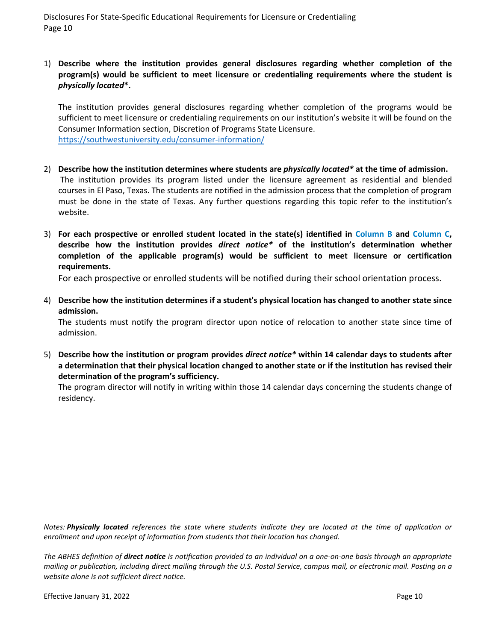1) **Describe where the institution provides general disclosures regarding whether completion of the program(s) would be sufficient to meet licensure or credentialing requirements where the student is**  *physically located***\*.** 

The institution provides general disclosures regarding whether completion of the programs would be sufficient to meet licensure or credentialing requirements on our institution's website it will be found on the Consumer Information section, Discretion of Programs State Licensure. <https://southwestuniversity.edu/consumer-information/>

- 2) **Describe how the institution determines where students are** *physically located\** **at the time of admission.** The institution provides its program listed under the licensure agreement as residential and blended courses in El Paso, Texas. The students are notified in the admission process that the completion of program must be done in the state of Texas. Any further questions regarding this topic refer to the institution's website.
- 3) **For each prospective or enrolled student located in the state(s) identified in Column B and Column C, describe how the institution provides** *direct notice\** **of the institution's determination whether completion of the applicable program(s) would be sufficient to meet licensure or certification requirements.**

For each prospective or enrolled students will be notified during their school orientation process.

4) **Describe how the institution determines if a student's physical location has changed to another state since admission.**

The students must notify the program director upon notice of relocation to another state since time of admission.

5) **Describe how the institution or program provides** *direct notice\** **within 14 calendar days to students after a determination that their physical location changed to another state or if the institution has revised their determination of the program's sufficiency.** 

The program director will notify in writing within those 14 calendar days concerning the students change of residency.

*Notes: Physically located references the state where students indicate they are located at the time of application or enrollment and upon receipt of information from students that their location has changed.*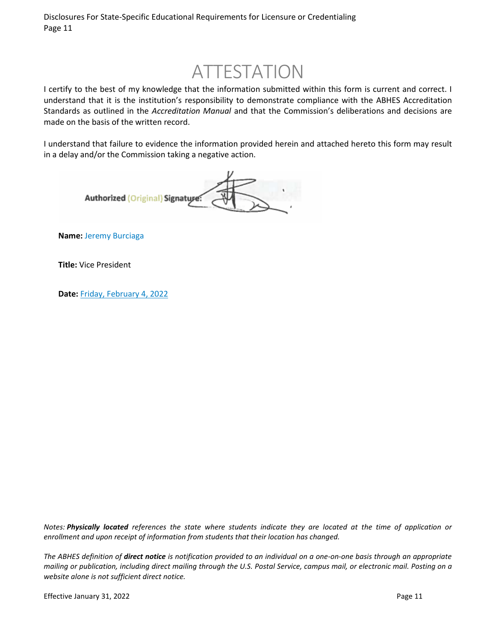## ATTESTATION

I certify to the best of my knowledge that the information submitted within this form is current and correct. I understand that it is the institution's responsibility to demonstrate compliance with the ABHES Accreditation Standards as outlined in the *Accreditation Manual* and that the Commission's deliberations and decisions are made on the basis of the written record.

I understand that failure to evidence the information provided herein and attached hereto this form may result in a delay and/or the Commission taking a negative action.



**Name:** Jeremy Burciaga

**Title:** Vice President

**Date:** Friday, February 4, 2022

*Notes: Physically located references the state where students indicate they are located at the time of application or enrollment and upon receipt of information from students that their location has changed.*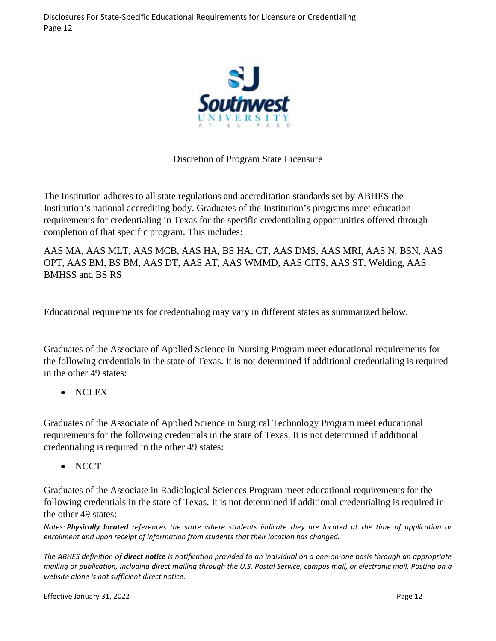

### Discretion of Program State Licensure

The Institution adheres to all state regulations and accreditation standards set by ABHES the Institution's national accrediting body. Graduates of the Institution's programs meet education requirements for credentialing in Texas for the specific credentialing opportunities offered through completion of that specific program. This includes:

AAS MA, AAS MLT, AAS MCB, AAS HA, BS HA, CT, AAS DMS, AAS MRI, AAS N, BSN, AAS OPT, AAS BM, BS BM, AAS DT, AAS AT, AAS WMMD, AAS CITS, AAS ST, Welding, AAS BMHSS and BS RS

Educational requirements for credentialing may vary in different states as summarized below.

Graduates of the Associate of Applied Science in Nursing Program meet educational requirements for the following credentials in the state of Texas. It is not determined if additional credentialing is required in the other 49 states:

• NCLEX

Graduates of the Associate of Applied Science in Surgical Technology Program meet educational requirements for the following credentials in the state of Texas. It is not determined if additional credentialing is required in the other 49 states:

• NCCT

Graduates of the Associate in Radiological Sciences Program meet educational requirements for the following credentials in the state of Texas. It is not determined if additional credentialing is required in the other 49 states:

*Notes: Physically located references the state where students indicate they are located at the time of application or enrollment and upon receipt of information from students that their location has changed.*